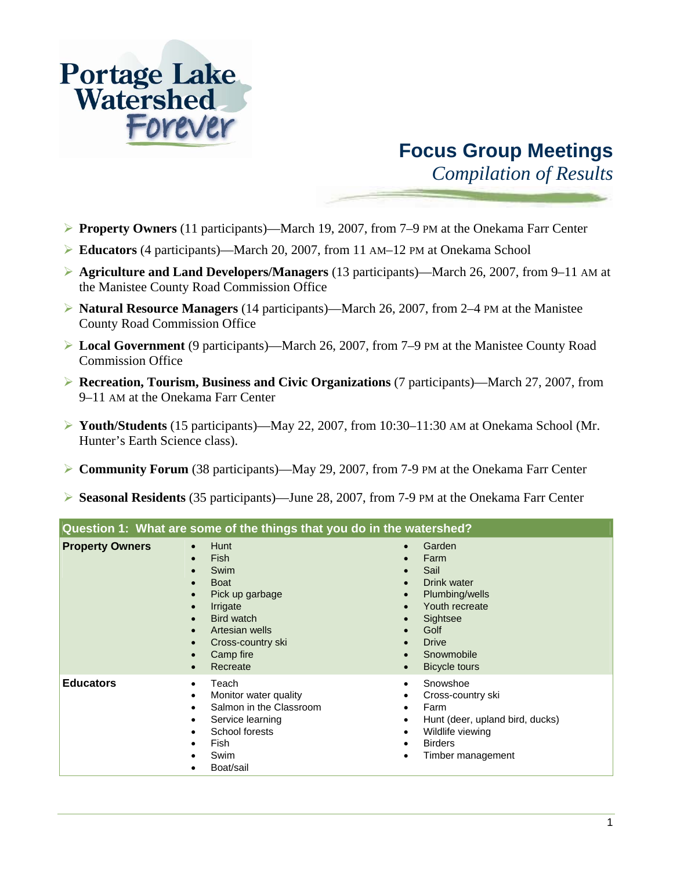## **Portage Lake<br>Watershed** Forever

## **Focus Group Meetings**

*Compilation of Results* 

- ¾ **Property Owners** (11 participants)—March 19, 2007, from 7–9 PM at the Onekama Farr Center
- ¾ **Educators** (4 participants)—March 20, 2007, from 11 AM–12 PM at Onekama School
- ¾ **Agriculture and Land Developers/Managers** (13 participants)—March 26, 2007, from 9–11 AM at the Manistee County Road Commission Office
- ¾ **Natural Resource Managers** (14 participants)—March 26, 2007, from 2–4 PM at the Manistee County Road Commission Office
- ¾ **Local Government** (9 participants)—March 26, 2007, from 7–9 PM at the Manistee County Road Commission Office
- ¾ **Recreation, Tourism, Business and Civic Organizations** (7 participants)—March 27, 2007, from 9–11 AM at the Onekama Farr Center
- ¾ **Youth/Students** (15 participants)—May 22, 2007, from 10:30–11:30 AM at Onekama School (Mr. Hunter's Earth Science class).
- ¾ **Community Forum** (38 participants)—May 29, 2007, from 7-9 PM at the Onekama Farr Center
- ¾ **Seasonal Residents** (35 participants)—June 28, 2007, from 7-9 PM at the Onekama Farr Center

| Question 1: What are some of the things that you do in the watershed? |                                                                                                                                                                             |                                                                                                                                                                         |
|-----------------------------------------------------------------------|-----------------------------------------------------------------------------------------------------------------------------------------------------------------------------|-------------------------------------------------------------------------------------------------------------------------------------------------------------------------|
| <b>Property Owners</b>                                                | <b>Hunt</b><br><b>Fish</b><br>$\bullet$<br>Swim<br><b>Boat</b><br>Pick up garbage<br>Irrigate<br>Bird watch<br>Artesian wells<br>Cross-country ski<br>Camp fire<br>Recreate | Garden<br>$\bullet$<br>Farm<br>$\bullet$<br>Sail<br>Drink water<br>Plumbing/wells<br>Youth recreate<br>Sightsee<br>Golf<br><b>Drive</b><br>Snowmobile<br>Bicycle tours  |
| <b>Educators</b>                                                      | Teach<br>Monitor water quality<br>٠<br>Salmon in the Classroom<br>Service learning<br>School forests<br>Fish<br>Swim<br>Boat/sail                                           | Snowshoe<br>$\bullet$<br>Cross-country ski<br>Farm<br>٠<br>Hunt (deer, upland bird, ducks)<br>٠<br>Wildlife viewing<br>$\bullet$<br><b>Birders</b><br>Timber management |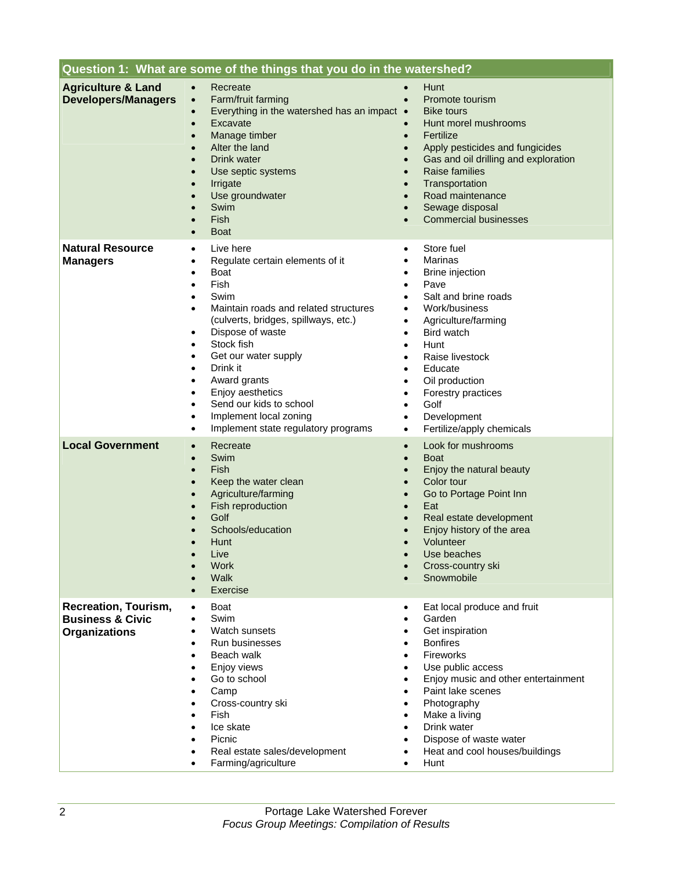| Question 1: What are some of the things that you do in the watershed?              |                                                                                                                                                                                                                                                                                                                                                                                                                                                                                                                                                        |                                                                                                                                                                                                                                                                                                                                                                          |
|------------------------------------------------------------------------------------|--------------------------------------------------------------------------------------------------------------------------------------------------------------------------------------------------------------------------------------------------------------------------------------------------------------------------------------------------------------------------------------------------------------------------------------------------------------------------------------------------------------------------------------------------------|--------------------------------------------------------------------------------------------------------------------------------------------------------------------------------------------------------------------------------------------------------------------------------------------------------------------------------------------------------------------------|
| <b>Agriculture &amp; Land</b><br><b>Developers/Managers</b>                        | Recreate<br>$\bullet$<br>Farm/fruit farming<br>$\bullet$<br>Everything in the watershed has an impact •<br>$\bullet$<br>Excavate<br>$\bullet$<br>Manage timber<br>$\bullet$<br>Alter the land<br>$\bullet$<br>Drink water<br>$\bullet$<br>Use septic systems<br>$\bullet$<br>Irrigate<br>$\bullet$<br>Use groundwater<br>$\bullet$<br><b>Swim</b><br>$\bullet$<br>Fish<br>$\bullet$<br><b>Boat</b><br>$\bullet$                                                                                                                                        | Hunt<br>Promote tourism<br>$\bullet$<br><b>Bike tours</b><br>Hunt morel mushrooms<br>Fertilize<br>$\bullet$<br>Apply pesticides and fungicides<br>Gas and oil drilling and exploration<br><b>Raise families</b><br>Transportation<br>$\bullet$<br>Road maintenance<br>$\bullet$<br>Sewage disposal<br><b>Commercial businesses</b><br>$\bullet$                          |
| <b>Natural Resource</b><br><b>Managers</b>                                         | Live here<br>$\bullet$<br>Regulate certain elements of it<br>٠<br>Boat<br>$\bullet$<br>Fish<br>$\bullet$<br>Swim<br>$\bullet$<br>Maintain roads and related structures<br>$\bullet$<br>(culverts, bridges, spillways, etc.)<br>Dispose of waste<br>$\bullet$<br>Stock fish<br>$\bullet$<br>Get our water supply<br>$\bullet$<br>Drink it<br>$\bullet$<br>Award grants<br>$\bullet$<br>Enjoy aesthetics<br>$\bullet$<br>Send our kids to school<br>$\bullet$<br>Implement local zoning<br>$\bullet$<br>Implement state regulatory programs<br>$\bullet$ | Store fuel<br>$\bullet$<br>Marinas<br>Brine injection<br>Pave<br>Salt and brine roads<br>Work/business<br>Agriculture/farming<br>$\bullet$<br>Bird watch<br>Hunt<br>$\bullet$<br>Raise livestock<br>Educate<br>$\bullet$<br>Oil production<br>Forestry practices<br>$\bullet$<br>Golf<br>$\bullet$<br>Development<br>$\bullet$<br>Fertilize/apply chemicals<br>$\bullet$ |
| <b>Local Government</b>                                                            | Recreate<br>$\bullet$<br>Swim<br>$\bullet$<br>Fish<br>$\bullet$<br>Keep the water clean<br>$\bullet$<br>Agriculture/farming<br>$\bullet$<br>Fish reproduction<br>$\bullet$<br>Golf<br>Schools/education<br><b>Hunt</b><br>$\bullet$<br>I ive<br>Work<br>Walk<br>Exercise                                                                                                                                                                                                                                                                               | Look for mushrooms<br>$\bullet$<br><b>Boat</b><br>$\bullet$<br>Enjoy the natural beauty<br>Color tour<br>Go to Portage Point Inn<br>$\bullet$<br>Eat<br>$\bullet$<br>Real estate development<br>Enjoy history of the area<br>Volunteer<br>Use beaches<br>Cross-country ski<br>Snowmobile                                                                                 |
| <b>Recreation, Tourism,</b><br><b>Business &amp; Civic</b><br><b>Organizations</b> | Boat<br>$\bullet$<br>Swim<br>$\bullet$<br>Watch sunsets<br>$\bullet$<br>Run businesses<br>Beach walk<br>$\bullet$<br>Enjoy views<br>$\bullet$<br>Go to school<br>$\bullet$<br>Camp<br>$\bullet$<br>Cross-country ski<br>$\bullet$<br>Fish<br>$\bullet$<br>Ice skate<br>$\bullet$<br>Picnic<br>$\bullet$<br>Real estate sales/development<br>Farming/agriculture<br>٠                                                                                                                                                                                   | Eat local produce and fruit<br>$\bullet$<br>Garden<br>Get inspiration<br><b>Bonfires</b><br>Fireworks<br>Use public access<br>Enjoy music and other entertainment<br>Paint lake scenes<br>Photography<br>Make a living<br>Drink water<br>Dispose of waste water<br>Heat and cool houses/buildings<br>Hunt<br>$\bullet$                                                   |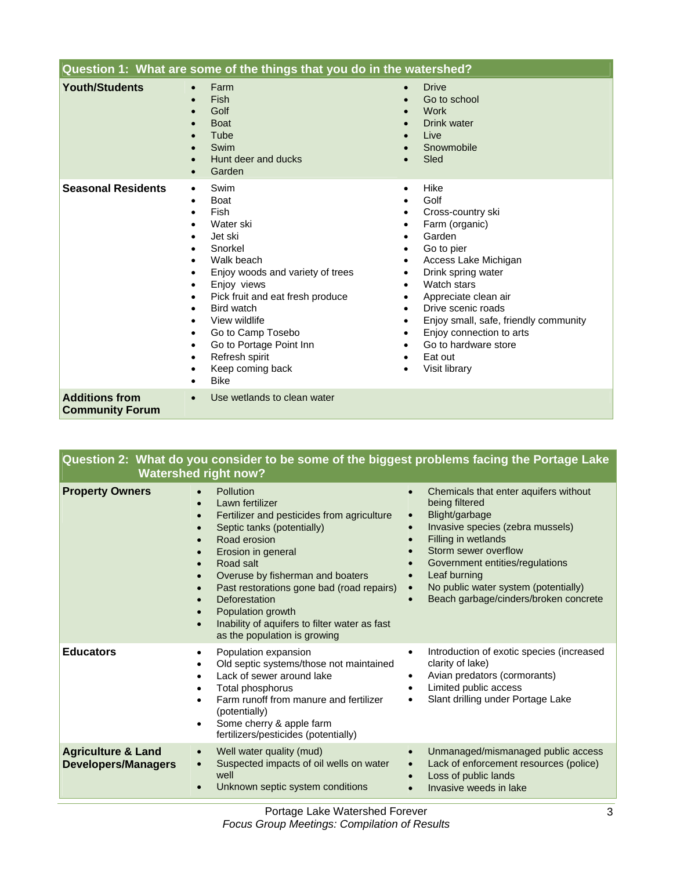| Question 1: What are some of the things that you do in the watershed? |                                                                                                                                                                                                                                                                                                                                                                                                              |                                                                                                                                                                                                                                                                                                                                   |
|-----------------------------------------------------------------------|--------------------------------------------------------------------------------------------------------------------------------------------------------------------------------------------------------------------------------------------------------------------------------------------------------------------------------------------------------------------------------------------------------------|-----------------------------------------------------------------------------------------------------------------------------------------------------------------------------------------------------------------------------------------------------------------------------------------------------------------------------------|
| <b>Youth/Students</b>                                                 | Farm<br>$\bullet$<br><b>Fish</b><br>$\bullet$<br>Golf<br><b>Boat</b><br>Tube<br>Swim<br>Hunt deer and ducks<br>$\bullet$<br>Garden<br>$\bullet$                                                                                                                                                                                                                                                              | <b>Drive</b><br>$\bullet$<br>Go to school<br><b>Work</b><br><b>Drink water</b><br>Live<br>Snowmobile<br>Sled                                                                                                                                                                                                                      |
| <b>Seasonal Residents</b>                                             | Swim<br>$\bullet$<br><b>Boat</b><br>$\bullet$<br>Fish<br>$\bullet$<br>Water ski<br>Jet ski<br>Snorkel<br>Walk beach<br>Enjoy woods and variety of trees<br>Enjoy views<br>Pick fruit and eat fresh produce<br>Bird watch<br>$\bullet$<br>View wildlife<br>٠<br>Go to Camp Tosebo<br>$\bullet$<br>Go to Portage Point Inn<br>$\bullet$<br>Refresh spirit<br>$\bullet$<br>Keep coming back<br>٠<br><b>Bike</b> | Hike<br>$\bullet$<br>Golf<br>Cross-country ski<br>Farm (organic)<br>Garden<br>Go to pier<br>Access Lake Michigan<br>Drink spring water<br>Watch stars<br>Appreciate clean air<br>Drive scenic roads<br>Enjoy small, safe, friendly community<br>Enjoy connection to arts<br>Go to hardware store<br>Eat out<br>Visit library<br>٠ |
| <b>Additions from</b><br><b>Community Forum</b>                       | Use wetlands to clean water<br>$\bullet$                                                                                                                                                                                                                                                                                                                                                                     |                                                                                                                                                                                                                                                                                                                                   |

| Question 2: What do you consider to be some of the biggest problems facing the Portage Lake |
|---------------------------------------------------------------------------------------------|
| <b>Watershed right now?</b>                                                                 |

| <b>Property Owners</b>                                      | Pollution<br>$\bullet$<br>Lawn fertilizer<br>$\bullet$<br>Fertilizer and pesticides from agriculture<br>$\bullet$<br>Septic tanks (potentially)<br>$\bullet$<br>Road erosion<br>$\bullet$<br>Erosion in general<br>$\bullet$<br>Road salt<br>$\bullet$<br>Overuse by fisherman and boaters<br>$\bullet$<br>Past restorations gone bad (road repairs)<br>$\bullet$<br>Deforestation<br>Population growth<br>Inability of aquifers to filter water as fast<br>$\bullet$<br>as the population is growing | Chemicals that enter aquifers without<br>being filtered<br>Blight/garbage<br>$\bullet$<br>Invasive species (zebra mussels)<br>Filling in wetlands<br>Storm sewer overflow<br>Government entities/regulations<br>Leaf burning<br>No public water system (potentially)<br>$\bullet$<br>Beach garbage/cinders/broken concrete |
|-------------------------------------------------------------|-------------------------------------------------------------------------------------------------------------------------------------------------------------------------------------------------------------------------------------------------------------------------------------------------------------------------------------------------------------------------------------------------------------------------------------------------------------------------------------------------------|----------------------------------------------------------------------------------------------------------------------------------------------------------------------------------------------------------------------------------------------------------------------------------------------------------------------------|
| <b>Educators</b>                                            | Population expansion<br>$\bullet$<br>Old septic systems/those not maintained<br>$\bullet$<br>Lack of sewer around lake<br>$\bullet$<br>Total phosphorus<br>$\bullet$<br>Farm runoff from manure and fertilizer<br>$\bullet$<br>(potentially)<br>Some cherry & apple farm<br>$\bullet$<br>fertilizers/pesticides (potentially)                                                                                                                                                                         | Introduction of exotic species (increased<br>$\bullet$<br>clarity of lake)<br>Avian predators (cormorants)<br>$\bullet$<br>Limited public access<br>Slant drilling under Portage Lake                                                                                                                                      |
| <b>Agriculture &amp; Land</b><br><b>Developers/Managers</b> | Well water quality (mud)<br>$\bullet$<br>Suspected impacts of oil wells on water<br>$\bullet$<br>well<br>Unknown septic system conditions<br>$\bullet$                                                                                                                                                                                                                                                                                                                                                | Unmanaged/mismanaged public access<br>$\bullet$<br>Lack of enforcement resources (police)<br>$\bullet$<br>Loss of public lands<br>Invasive weeds in lake                                                                                                                                                                   |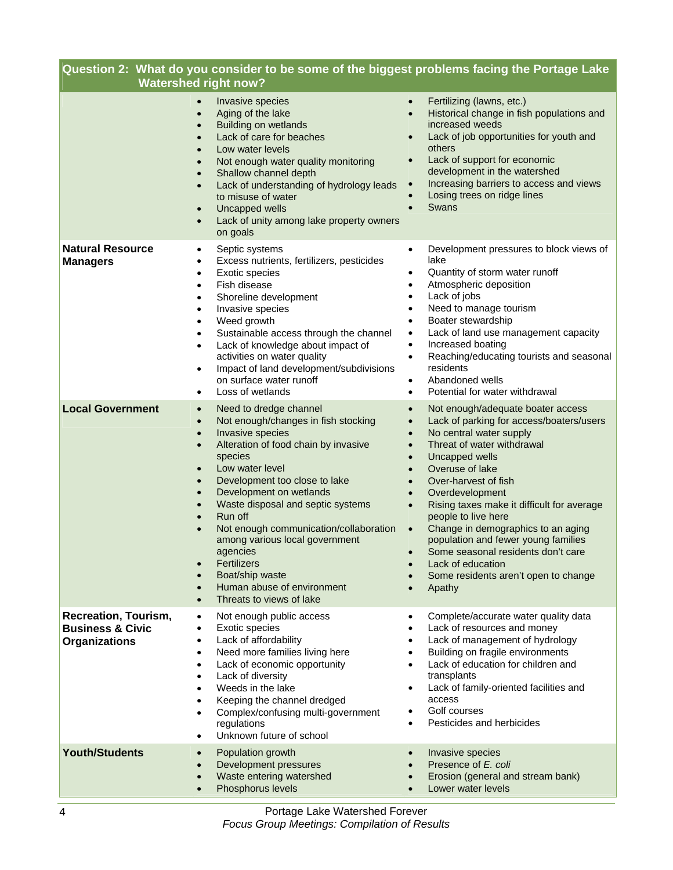| Question 2: What do you consider to be some of the biggest problems facing the Portage Lake<br><b>Watershed right now?</b> |                                                                                                                                                                                                                                                                                                                                                                                                                                                                                                                                 |                                                                                                                                                                                                                                                                                                                                                                                                                                                                                                                                                                                                                         |
|----------------------------------------------------------------------------------------------------------------------------|---------------------------------------------------------------------------------------------------------------------------------------------------------------------------------------------------------------------------------------------------------------------------------------------------------------------------------------------------------------------------------------------------------------------------------------------------------------------------------------------------------------------------------|-------------------------------------------------------------------------------------------------------------------------------------------------------------------------------------------------------------------------------------------------------------------------------------------------------------------------------------------------------------------------------------------------------------------------------------------------------------------------------------------------------------------------------------------------------------------------------------------------------------------------|
|                                                                                                                            | Invasive species<br>Aging of the lake<br><b>Building on wetlands</b><br>Lack of care for beaches<br>Low water levels<br>Not enough water quality monitoring<br>Shallow channel depth<br>Lack of understanding of hydrology leads<br>to misuse of water<br>Uncapped wells<br>$\bullet$<br>Lack of unity among lake property owners<br>on goals                                                                                                                                                                                   | Fertilizing (lawns, etc.)<br>$\bullet$<br>Historical change in fish populations and<br>$\bullet$<br>increased weeds<br>Lack of job opportunities for youth and<br>$\bullet$<br>others<br>Lack of support for economic<br>$\bullet$<br>development in the watershed<br>Increasing barriers to access and views<br>$\bullet$<br>Losing trees on ridge lines<br>$\bullet$<br>Swans<br>$\bullet$                                                                                                                                                                                                                            |
| <b>Natural Resource</b><br><b>Managers</b>                                                                                 | Septic systems<br>$\bullet$<br>Excess nutrients, fertilizers, pesticides<br>Exotic species<br>٠<br>Fish disease<br>Shoreline development<br>٠<br>Invasive species<br>$\bullet$<br>Weed growth<br>$\bullet$<br>Sustainable access through the channel<br>$\bullet$<br>Lack of knowledge about impact of<br>$\bullet$<br>activities on water quality<br>Impact of land development/subdivisions<br>$\bullet$<br>on surface water runoff<br>Loss of wetlands<br>٠                                                                  | Development pressures to block views of<br>$\bullet$<br>lake<br>Quantity of storm water runoff<br>٠<br>Atmospheric deposition<br>$\bullet$<br>Lack of jobs<br>$\bullet$<br>Need to manage tourism<br>$\bullet$<br>Boater stewardship<br>$\bullet$<br>Lack of land use management capacity<br>$\bullet$<br>Increased boating<br>$\bullet$<br>Reaching/educating tourists and seasonal<br>$\bullet$<br>residents<br>Abandoned wells<br>$\bullet$<br>Potential for water withdrawal<br>$\bullet$                                                                                                                           |
| <b>Local Government</b>                                                                                                    | Need to dredge channel<br>$\bullet$<br>Not enough/changes in fish stocking<br>$\bullet$<br>Invasive species<br>$\bullet$<br>Alteration of food chain by invasive<br>$\bullet$<br>species<br>Low water level<br>Development too close to lake<br>Development on wetlands<br>Waste disposal and septic systems<br>Run off<br>Not enough communication/collaboration<br>among various local government<br>agencies<br><b>Fertilizers</b><br>$\bullet$<br>Boat/ship waste<br>Human abuse of environment<br>Threats to views of lake | Not enough/adequate boater access<br>$\bullet$<br>Lack of parking for access/boaters/users<br>$\bullet$<br>No central water supply<br>$\bullet$<br>Threat of water withdrawal<br>$\bullet$<br>Uncapped wells<br>$\bullet$<br>Overuse of lake<br>$\bullet$<br>Over-harvest of fish<br>$\bullet$<br>Overdevelopment<br>$\bullet$<br>Rising taxes make it difficult for average<br>$\bullet$<br>people to live here<br>Change in demographics to an aging<br>$\bullet$<br>population and fewer young families<br>Some seasonal residents don't care<br>Lack of education<br>Some residents aren't open to change<br>Apathy |
| <b>Recreation, Tourism,</b><br><b>Business &amp; Civic</b><br><b>Organizations</b>                                         | Not enough public access<br>Exotic species<br>Lack of affordability<br>Need more families living here<br>Lack of economic opportunity<br>Lack of diversity<br>Weeds in the lake<br>Keeping the channel dredged<br>Complex/confusing multi-government<br>regulations<br>Unknown future of school                                                                                                                                                                                                                                 | Complete/accurate water quality data<br>٠<br>Lack of resources and money<br>٠<br>Lack of management of hydrology<br>$\bullet$<br>Building on fragile environments<br>$\bullet$<br>Lack of education for children and<br>$\bullet$<br>transplants<br>Lack of family-oriented facilities and<br>٠<br>access<br>Golf courses<br>٠<br>Pesticides and herbicides<br>$\bullet$                                                                                                                                                                                                                                                |
| <b>Youth/Students</b>                                                                                                      | Population growth<br>Development pressures<br>Waste entering watershed<br>Phosphorus levels<br>$\bullet$                                                                                                                                                                                                                                                                                                                                                                                                                        | Invasive species<br>$\bullet$<br>Presence of E. coli<br>$\bullet$<br>Erosion (general and stream bank)<br>$\bullet$<br>Lower water levels<br>$\bullet$                                                                                                                                                                                                                                                                                                                                                                                                                                                                  |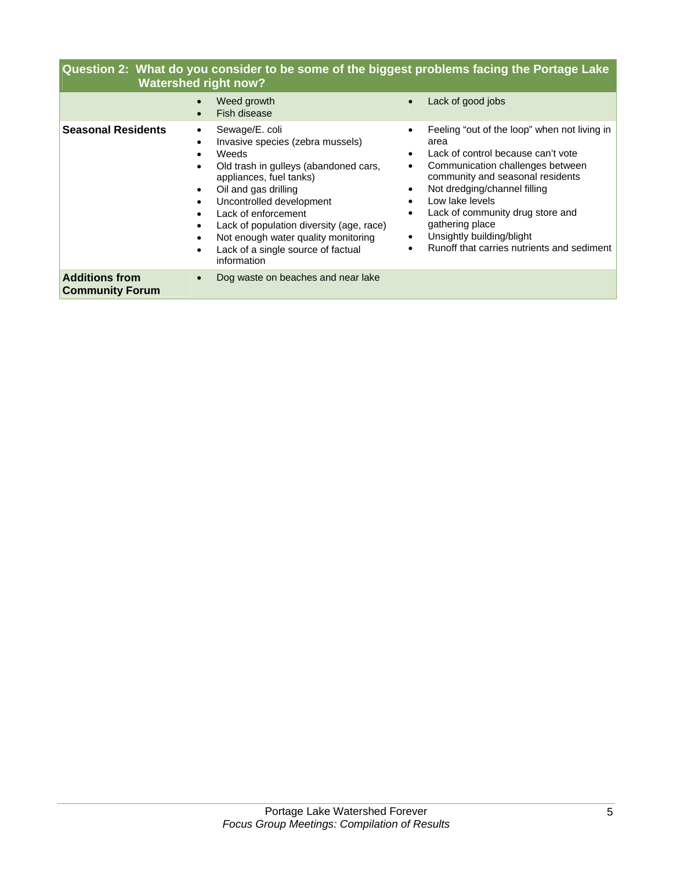## **Question 2: What do you consider to be some of the biggest problems facing the Portage Lake Watershed right now?**

|                                                 | Weed growth<br>$\bullet$<br>Fish disease                                                                                                                                                                                                                                                                                                                                                                                                   | Lack of good jobs<br>$\bullet$                                                                                                                                                                                                                                                                                                                                                                 |
|-------------------------------------------------|--------------------------------------------------------------------------------------------------------------------------------------------------------------------------------------------------------------------------------------------------------------------------------------------------------------------------------------------------------------------------------------------------------------------------------------------|------------------------------------------------------------------------------------------------------------------------------------------------------------------------------------------------------------------------------------------------------------------------------------------------------------------------------------------------------------------------------------------------|
| <b>Seasonal Residents</b>                       | Sewage/E. coli<br>٠<br>Invasive species (zebra mussels)<br>$\bullet$<br>Weeds<br>$\bullet$<br>Old trash in gulleys (abandoned cars,<br>$\bullet$<br>appliances, fuel tanks)<br>Oil and gas drilling<br>$\bullet$<br>Uncontrolled development<br>$\bullet$<br>Lack of enforcement<br>Lack of population diversity (age, race)<br>Not enough water quality monitoring<br>٠<br>Lack of a single source of factual<br>$\bullet$<br>information | Feeling "out of the loop" when not living in<br>$\bullet$<br>area<br>Lack of control because can't vote<br>Communication challenges between<br>community and seasonal residents<br>Not dredging/channel filling<br>Low lake levels<br>Lack of community drug store and<br>$\bullet$<br>gathering place<br>Unsightly building/blight<br>$\bullet$<br>Runoff that carries nutrients and sediment |
| <b>Additions from</b><br><b>Community Forum</b> | Dog waste on beaches and near lake<br>$\bullet$                                                                                                                                                                                                                                                                                                                                                                                            |                                                                                                                                                                                                                                                                                                                                                                                                |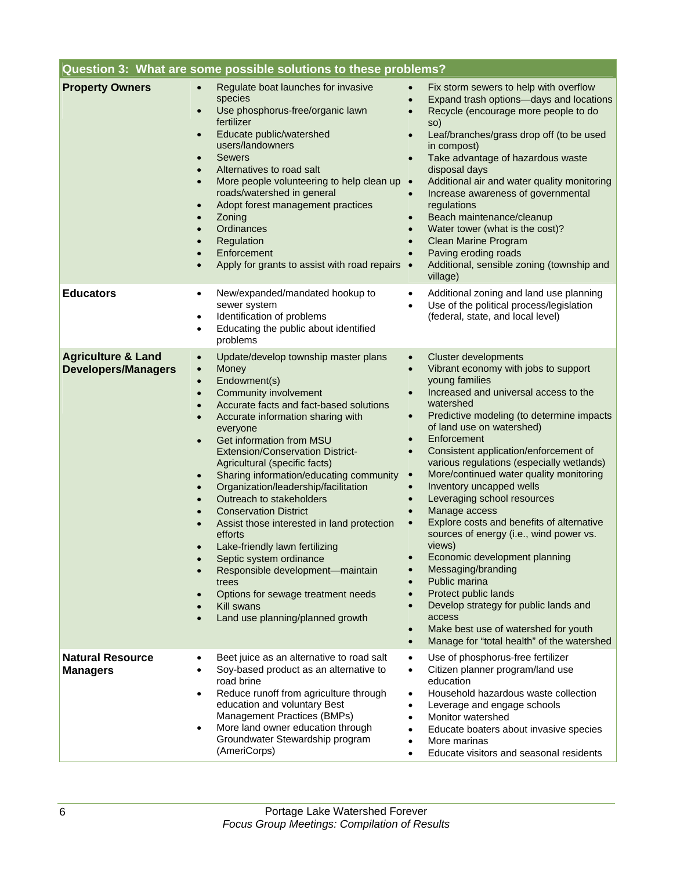| Question 3: What are some possible solutions to these problems? |                                                                                                                                                                                                                                                                                                                                                                                                                                                                                                                                                                                                                                                                                                                                                                                                        |                                                                                                                                                                                                                                                                                                                                                                                                                                                                                                                                                                                                                                                                                                                                                                                                                                                                                                                                                                                    |
|-----------------------------------------------------------------|--------------------------------------------------------------------------------------------------------------------------------------------------------------------------------------------------------------------------------------------------------------------------------------------------------------------------------------------------------------------------------------------------------------------------------------------------------------------------------------------------------------------------------------------------------------------------------------------------------------------------------------------------------------------------------------------------------------------------------------------------------------------------------------------------------|------------------------------------------------------------------------------------------------------------------------------------------------------------------------------------------------------------------------------------------------------------------------------------------------------------------------------------------------------------------------------------------------------------------------------------------------------------------------------------------------------------------------------------------------------------------------------------------------------------------------------------------------------------------------------------------------------------------------------------------------------------------------------------------------------------------------------------------------------------------------------------------------------------------------------------------------------------------------------------|
| <b>Property Owners</b>                                          | Regulate boat launches for invasive<br>$\bullet$<br>species<br>Use phosphorus-free/organic lawn<br>$\bullet$<br>fertilizer<br>Educate public/watershed<br>$\bullet$<br>users/landowners<br><b>Sewers</b><br>$\bullet$<br>Alternatives to road salt<br>More people volunteering to help clean up<br>$\bullet$<br>roads/watershed in general<br>Adopt forest management practices<br>$\bullet$<br>Zoning<br>$\bullet$<br>Ordinances<br>Regulation<br>Enforcement<br>Apply for grants to assist with road repairs •                                                                                                                                                                                                                                                                                       | Fix storm sewers to help with overflow<br>$\bullet$<br>Expand trash options-days and locations<br>$\bullet$<br>Recycle (encourage more people to do<br>$\bullet$<br>so)<br>Leaf/branches/grass drop off (to be used<br>$\bullet$<br>in compost)<br>Take advantage of hazardous waste<br>$\bullet$<br>disposal days<br>Additional air and water quality monitoring<br>$\bullet$<br>Increase awareness of governmental<br>$\bullet$<br>regulations<br>Beach maintenance/cleanup<br>$\bullet$<br>Water tower (what is the cost)?<br>$\bullet$<br>Clean Marine Program<br>$\bullet$<br>Paving eroding roads<br>$\bullet$<br>Additional, sensible zoning (township and<br>village)                                                                                                                                                                                                                                                                                                      |
| <b>Educators</b>                                                | New/expanded/mandated hookup to<br>$\bullet$<br>sewer system<br>Identification of problems<br>$\bullet$<br>Educating the public about identified<br>$\bullet$<br>problems                                                                                                                                                                                                                                                                                                                                                                                                                                                                                                                                                                                                                              | Additional zoning and land use planning<br>$\bullet$<br>Use of the political process/legislation<br>(federal, state, and local level)                                                                                                                                                                                                                                                                                                                                                                                                                                                                                                                                                                                                                                                                                                                                                                                                                                              |
| <b>Agriculture &amp; Land</b><br><b>Developers/Managers</b>     | Update/develop township master plans<br>$\bullet$<br>Money<br>$\bullet$<br>Endowment(s)<br>$\bullet$<br><b>Community involvement</b><br>$\bullet$<br>Accurate facts and fact-based solutions<br>Accurate information sharing with<br>everyone<br>Get information from MSU<br>$\bullet$<br><b>Extension/Conservation District-</b><br>Agricultural (specific facts)<br>Sharing information/educating community<br>Organization/leadership/facilitation<br>Outreach to stakeholders<br><b>Conservation District</b><br>$\bullet$<br>Assist those interested in land protection<br>efforts<br>Lake-friendly lawn fertilizing<br>$\bullet$<br>Septic system ordinance<br>Responsible development-maintain<br>trees<br>Options for sewage treatment needs<br>Kill swans<br>Land use planning/planned growth | <b>Cluster developments</b><br>$\bullet$<br>Vibrant economy with jobs to support<br>$\bullet$<br>young families<br>Increased and universal access to the<br>watershed<br>Predictive modeling (to determine impacts<br>$\bullet$<br>of land use on watershed)<br>Enforcement<br>$\bullet$<br>Consistent application/enforcement of<br>$\bullet$<br>various regulations (especially wetlands)<br>More/continued water quality monitoring<br>$\bullet$<br>Inventory uncapped wells<br>$\bullet$<br>Leveraging school resources<br>$\bullet$<br>Manage access<br>$\bullet$<br>Explore costs and benefits of alternative<br>sources of energy (i.e., wind power vs.<br>views)<br>Economic development planning<br>$\bullet$<br>Messaging/branding<br>Public marina<br>Protect public lands<br>$\bullet$<br>Develop strategy for public lands and<br>$\bullet$<br>access<br>Make best use of watershed for youth<br>$\bullet$<br>Manage for "total health" of the watershed<br>$\bullet$ |
| <b>Natural Resource</b><br><b>Managers</b>                      | Beet juice as an alternative to road salt<br>$\bullet$<br>Soy-based product as an alternative to<br>road brine<br>Reduce runoff from agriculture through<br>$\bullet$<br>education and voluntary Best<br>Management Practices (BMPs)<br>More land owner education through<br>$\bullet$<br>Groundwater Stewardship program<br>(AmeriCorps)                                                                                                                                                                                                                                                                                                                                                                                                                                                              | Use of phosphorus-free fertilizer<br>$\bullet$<br>Citizen planner program/land use<br>$\bullet$<br>education<br>Household hazardous waste collection<br>$\bullet$<br>Leverage and engage schools<br>$\bullet$<br>Monitor watershed<br>$\bullet$<br>Educate boaters about invasive species<br>$\bullet$<br>More marinas<br>$\bullet$<br>Educate visitors and seasonal residents<br>$\bullet$                                                                                                                                                                                                                                                                                                                                                                                                                                                                                                                                                                                        |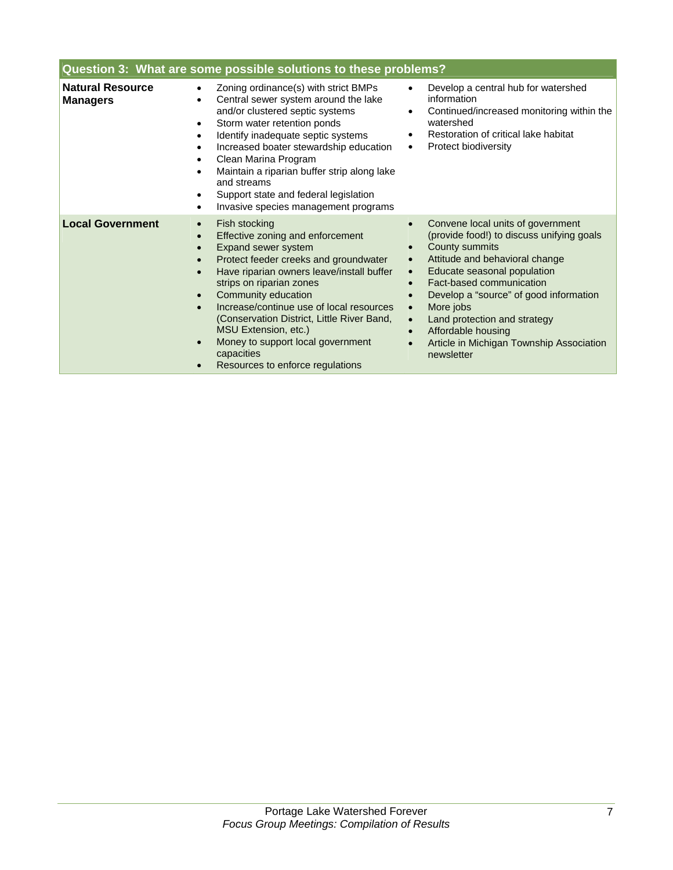| Question 3: What are some possible solutions to these problems? |                                                                                                                                                                                                                                                                                                                                                                                                                            |                                                                                                                                                                                                                                                                                                                                                                                                                                                                                           |
|-----------------------------------------------------------------|----------------------------------------------------------------------------------------------------------------------------------------------------------------------------------------------------------------------------------------------------------------------------------------------------------------------------------------------------------------------------------------------------------------------------|-------------------------------------------------------------------------------------------------------------------------------------------------------------------------------------------------------------------------------------------------------------------------------------------------------------------------------------------------------------------------------------------------------------------------------------------------------------------------------------------|
| <b>Natural Resource</b><br><b>Managers</b>                      | Zoning ordinance(s) with strict BMPs<br>Central sewer system around the lake<br>and/or clustered septic systems<br>Storm water retention ponds<br>Identify inadequate septic systems<br>Increased boater stewardship education<br>Clean Marina Program<br>Maintain a riparian buffer strip along lake<br>and streams<br>Support state and federal legislation<br>Invasive species management programs                      | Develop a central hub for watershed<br>information<br>Continued/increased monitoring within the<br>$\bullet$<br>watershed<br>Restoration of critical lake habitat<br>$\bullet$<br><b>Protect biodiversity</b><br>$\bullet$                                                                                                                                                                                                                                                                |
| <b>Local Government</b>                                         | Fish stocking<br>Effective zoning and enforcement<br>Expand sewer system<br>Protect feeder creeks and groundwater<br>Have riparian owners leave/install buffer<br>strips on riparian zones<br>Community education<br>Increase/continue use of local resources<br>(Conservation District, Little River Band,<br>MSU Extension, etc.)<br>Money to support local government<br>capacities<br>Resources to enforce regulations | Convene local units of government<br>$\bullet$<br>(provide food!) to discuss unifying goals<br>County summits<br>$\bullet$<br>Attitude and behavioral change<br>$\bullet$<br>Educate seasonal population<br>$\bullet$<br>Fact-based communication<br>Develop a "source" of good information<br>$\bullet$<br>More jobs<br>$\bullet$<br>Land protection and strategy<br>$\bullet$<br>Affordable housing<br>$\bullet$<br>Article in Michigan Township Association<br>$\bullet$<br>newsletter |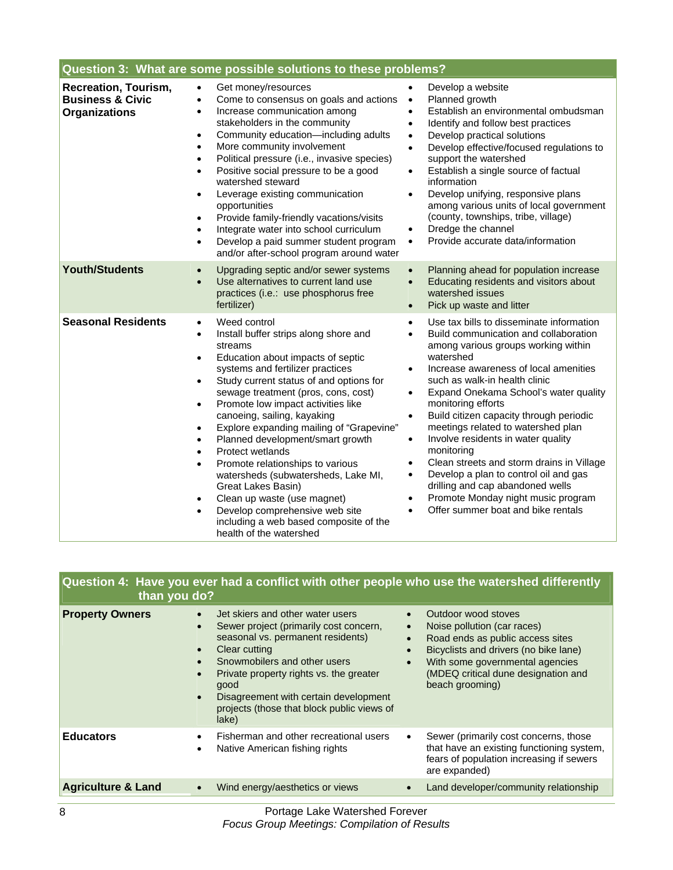| Question 3: What are some possible solutions to these problems?             |                                                                                                                                                                                                                                                                                                                                                                                                                                                                                                                                                                                                                                                                                                                                                     |                                                                                                                                                                                                                                                                                                                                                                                                                                                                                                                                                                                                                                                                                                                                                             |
|-----------------------------------------------------------------------------|-----------------------------------------------------------------------------------------------------------------------------------------------------------------------------------------------------------------------------------------------------------------------------------------------------------------------------------------------------------------------------------------------------------------------------------------------------------------------------------------------------------------------------------------------------------------------------------------------------------------------------------------------------------------------------------------------------------------------------------------------------|-------------------------------------------------------------------------------------------------------------------------------------------------------------------------------------------------------------------------------------------------------------------------------------------------------------------------------------------------------------------------------------------------------------------------------------------------------------------------------------------------------------------------------------------------------------------------------------------------------------------------------------------------------------------------------------------------------------------------------------------------------------|
| Recreation, Tourism,<br><b>Business &amp; Civic</b><br><b>Organizations</b> | Get money/resources<br>Come to consensus on goals and actions<br>$\bullet$<br>Increase communication among<br>$\bullet$<br>stakeholders in the community<br>Community education-including adults<br>$\bullet$<br>More community involvement<br>$\bullet$<br>Political pressure (i.e., invasive species)<br>Positive social pressure to be a good<br>$\bullet$<br>watershed steward<br>Leverage existing communication<br>opportunities<br>Provide family-friendly vacations/visits<br>$\bullet$<br>Integrate water into school curriculum<br>Develop a paid summer student program<br>$\bullet$<br>and/or after-school program around water                                                                                                         | Develop a website<br>Planned growth<br>$\bullet$<br>Establish an environmental ombudsman<br>$\bullet$<br>Identify and follow best practices<br>$\bullet$<br>Develop practical solutions<br>$\bullet$<br>Develop effective/focused regulations to<br>$\bullet$<br>support the watershed<br>Establish a single source of factual<br>$\bullet$<br>information<br>Develop unifying, responsive plans<br>$\bullet$<br>among various units of local government<br>(county, townships, tribe, village)<br>Dredge the channel<br>$\bullet$<br>Provide accurate data/information<br>$\bullet$                                                                                                                                                                        |
| <b>Youth/Students</b>                                                       | Upgrading septic and/or sewer systems<br>$\bullet$<br>Use alternatives to current land use<br>$\bullet$<br>practices (i.e.: use phosphorus free<br>fertilizer)                                                                                                                                                                                                                                                                                                                                                                                                                                                                                                                                                                                      | Planning ahead for population increase<br>$\bullet$<br>Educating residents and visitors about<br>$\bullet$<br>watershed issues<br>Pick up waste and litter<br>$\bullet$                                                                                                                                                                                                                                                                                                                                                                                                                                                                                                                                                                                     |
| <b>Seasonal Residents</b>                                                   | Weed control<br>$\bullet$<br>Install buffer strips along shore and<br>$\bullet$<br>streams<br>Education about impacts of septic<br>$\bullet$<br>systems and fertilizer practices<br>Study current status of and options for<br>$\bullet$<br>sewage treatment (pros, cons, cost)<br>Promote low impact activities like<br>$\bullet$<br>canoeing, sailing, kayaking<br>Explore expanding mailing of "Grapevine"<br>$\bullet$<br>Planned development/smart growth<br>Protect wetlands<br>Promote relationships to various<br>watersheds (subwatersheds, Lake MI,<br>Great Lakes Basin)<br>Clean up waste (use magnet)<br>$\bullet$<br>Develop comprehensive web site<br>$\bullet$<br>including a web based composite of the<br>health of the watershed | Use tax bills to disseminate information<br>$\bullet$<br>Build communication and collaboration<br>$\bullet$<br>among various groups working within<br>watershed<br>Increase awareness of local amenities<br>$\bullet$<br>such as walk-in health clinic<br>Expand Onekama School's water quality<br>$\bullet$<br>monitoring efforts<br>Build citizen capacity through periodic<br>$\bullet$<br>meetings related to watershed plan<br>Involve residents in water quality<br>$\bullet$<br>monitoring<br>Clean streets and storm drains in Village<br>$\bullet$<br>Develop a plan to control oil and gas<br>$\bullet$<br>drilling and cap abandoned wells<br>Promote Monday night music program<br>$\bullet$<br>Offer summer boat and bike rentals<br>$\bullet$ |

| than you do?                  |                                                                                                                                                                                                                                                                                                                                  | Question 4: Have you ever had a conflict with other people who use the watershed differently                                                                                                                                                           |
|-------------------------------|----------------------------------------------------------------------------------------------------------------------------------------------------------------------------------------------------------------------------------------------------------------------------------------------------------------------------------|--------------------------------------------------------------------------------------------------------------------------------------------------------------------------------------------------------------------------------------------------------|
| <b>Property Owners</b>        | Jet skiers and other water users<br>Sewer project (primarily cost concern,<br>seasonal vs. permanent residents)<br>Clear cutting<br>Snowmobilers and other users<br>Private property rights vs. the greater<br>$\bullet$<br>good<br>Disagreement with certain development<br>projects (those that block public views of<br>lake) | Outdoor wood stoves<br>Noise pollution (car races)<br>$\bullet$<br>Road ends as public access sites<br>Bicyclists and drivers (no bike lane)<br>$\bullet$<br>With some governmental agencies<br>(MDEQ critical dune designation and<br>beach grooming) |
| <b>Educators</b>              | Fisherman and other recreational users<br>Native American fishing rights<br>٠                                                                                                                                                                                                                                                    | Sewer (primarily cost concerns, those<br>that have an existing functioning system,<br>fears of population increasing if sewers<br>are expanded)                                                                                                        |
| <b>Agriculture &amp; Land</b> | Wind energy/aesthetics or views<br>$\bullet$                                                                                                                                                                                                                                                                                     | Land developer/community relationship                                                                                                                                                                                                                  |
|                               |                                                                                                                                                                                                                                                                                                                                  |                                                                                                                                                                                                                                                        |
| 8                             | Portage Lake Watershed Forever                                                                                                                                                                                                                                                                                                   |                                                                                                                                                                                                                                                        |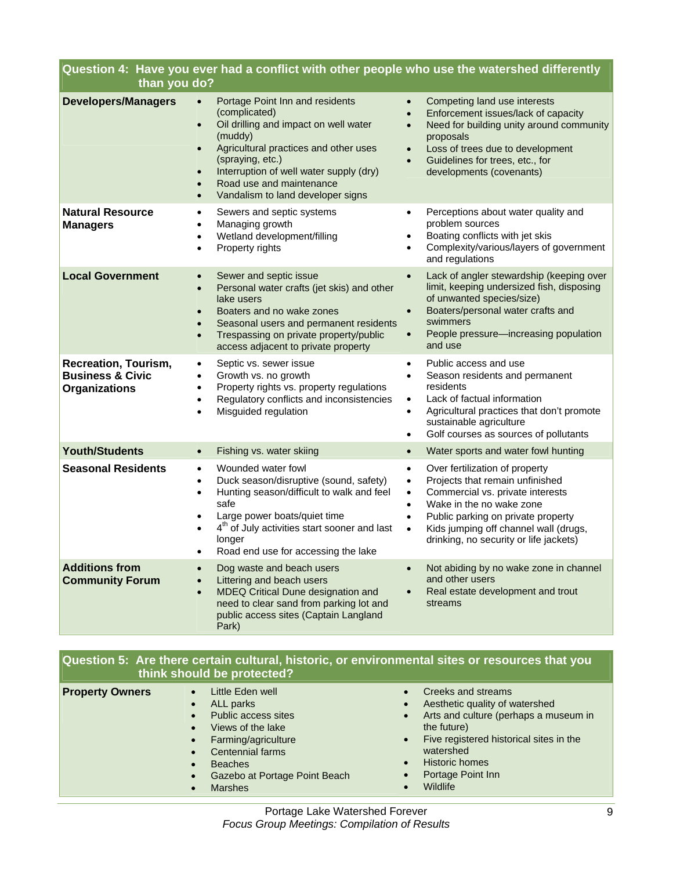| Question 4: Have you ever had a conflict with other people who use the watershed differently<br>than you do? |                                                                                                                                                                                                                                                                                                                                                             |                                                                                                                                                                                                                                                                                                                                          |
|--------------------------------------------------------------------------------------------------------------|-------------------------------------------------------------------------------------------------------------------------------------------------------------------------------------------------------------------------------------------------------------------------------------------------------------------------------------------------------------|------------------------------------------------------------------------------------------------------------------------------------------------------------------------------------------------------------------------------------------------------------------------------------------------------------------------------------------|
| <b>Developers/Managers</b>                                                                                   | Portage Point Inn and residents<br>$\bullet$<br>(complicated)<br>Oil drilling and impact on well water<br>$\bullet$<br>(muddy)<br>Agricultural practices and other uses<br>$\bullet$<br>(spraying, etc.)<br>Interruption of well water supply (dry)<br>$\bullet$<br>Road use and maintenance<br>$\bullet$<br>Vandalism to land developer signs<br>$\bullet$ | Competing land use interests<br>$\bullet$<br>Enforcement issues/lack of capacity<br>$\bullet$<br>Need for building unity around community<br>$\bullet$<br>proposals<br>Loss of trees due to development<br>$\bullet$<br>Guidelines for trees, etc., for<br>$\bullet$<br>developments (covenants)                                         |
| <b>Natural Resource</b><br><b>Managers</b>                                                                   | Sewers and septic systems<br>٠<br>Managing growth<br>$\bullet$<br>Wetland development/filling<br>$\bullet$<br>Property rights<br>$\bullet$                                                                                                                                                                                                                  | Perceptions about water quality and<br>$\bullet$<br>problem sources<br>Boating conflicts with jet skis<br>٠<br>Complexity/various/layers of government<br>and regulations                                                                                                                                                                |
| <b>Local Government</b>                                                                                      | Sewer and septic issue<br>$\bullet$<br>Personal water crafts (jet skis) and other<br>$\bullet$<br>lake users<br>Boaters and no wake zones<br>$\bullet$<br>Seasonal users and permanent residents<br>$\bullet$<br>Trespassing on private property/public<br>$\bullet$<br>access adjacent to private property                                                 | Lack of angler stewardship (keeping over<br>$\bullet$<br>limit, keeping undersized fish, disposing<br>of unwanted species/size)<br>Boaters/personal water crafts and<br>$\bullet$<br>swimmers<br>People pressure-increasing population<br>$\bullet$<br>and use                                                                           |
| <b>Recreation, Tourism,</b><br><b>Business &amp; Civic</b><br><b>Organizations</b>                           | Septic vs. sewer issue<br>$\bullet$<br>Growth vs. no growth<br>$\bullet$<br>Property rights vs. property regulations<br>$\bullet$<br>Regulatory conflicts and inconsistencies<br>$\bullet$<br>Misguided regulation<br>$\bullet$                                                                                                                             | Public access and use<br>$\bullet$<br>Season residents and permanent<br>$\bullet$<br>residents<br>Lack of factual information<br>$\bullet$<br>Agricultural practices that don't promote<br>$\bullet$<br>sustainable agriculture<br>Golf courses as sources of pollutants<br>$\bullet$                                                    |
| <b>Youth/Students</b>                                                                                        | Fishing vs. water skiing<br>$\bullet$                                                                                                                                                                                                                                                                                                                       | Water sports and water fowl hunting<br>$\bullet$                                                                                                                                                                                                                                                                                         |
| <b>Seasonal Residents</b>                                                                                    | Wounded water fowl<br>$\bullet$<br>Duck season/disruptive (sound, safety)<br>$\bullet$<br>Hunting season/difficult to walk and feel<br>$\bullet$<br>safe<br>Large power boats/quiet time<br>٠<br>4 <sup>th</sup> of July activities start sooner and last<br>longer<br>Road end use for accessing the lake                                                  | Over fertilization of property<br>$\bullet$<br>Projects that remain unfinished<br>$\bullet$<br>Commercial vs. private interests<br>$\bullet$<br>Wake in the no wake zone<br>$\bullet$<br>Public parking on private property<br>$\bullet$<br>Kids jumping off channel wall (drugs,<br>$\bullet$<br>drinking, no security or life jackets) |
| <b>Additions from</b><br><b>Community Forum</b>                                                              | Dog waste and beach users<br>Littering and beach users<br>MDEQ Critical Dune designation and<br>$\bullet$<br>need to clear sand from parking lot and<br>public access sites (Captain Langland<br>Park)                                                                                                                                                      | Not abiding by no wake zone in channel<br>and other users<br>Real estate development and trout<br>$\bullet$<br>streams                                                                                                                                                                                                                   |

|                  |                            | Question 5: Are there certain cultural, historic, or environmental sites or resources that you |
|------------------|----------------------------|------------------------------------------------------------------------------------------------|
|                  | think should be protected? |                                                                                                |
| Business Country | $1.21 \pm 1.1$             |                                                                                                |

| <b>Property Owners</b> | Little Eden well<br>ALL parks<br>$\bullet$<br>Public access sites<br>$\bullet$<br>Views of the lake<br>$\bullet$<br>Farming/agriculture<br>$\bullet$<br>Centennial farms<br>$\bullet$<br><b>Beaches</b><br>$\bullet$<br>Gazebo at Portage Point Beach<br>$\bullet$<br><b>Marshes</b><br>$\bullet$ | Creeks and streams<br>$\bullet$<br>Aesthetic quality of watershed<br>$\bullet$<br>Arts and culture (perhaps a museum in<br>$\bullet$<br>the future)<br>Five registered historical sites in the<br>$\bullet$<br>watershed<br><b>Historic homes</b><br>$\bullet$<br>Portage Point Inn<br>$\bullet$<br>Wildlife |
|------------------------|---------------------------------------------------------------------------------------------------------------------------------------------------------------------------------------------------------------------------------------------------------------------------------------------------|--------------------------------------------------------------------------------------------------------------------------------------------------------------------------------------------------------------------------------------------------------------------------------------------------------------|
|------------------------|---------------------------------------------------------------------------------------------------------------------------------------------------------------------------------------------------------------------------------------------------------------------------------------------------|--------------------------------------------------------------------------------------------------------------------------------------------------------------------------------------------------------------------------------------------------------------------------------------------------------------|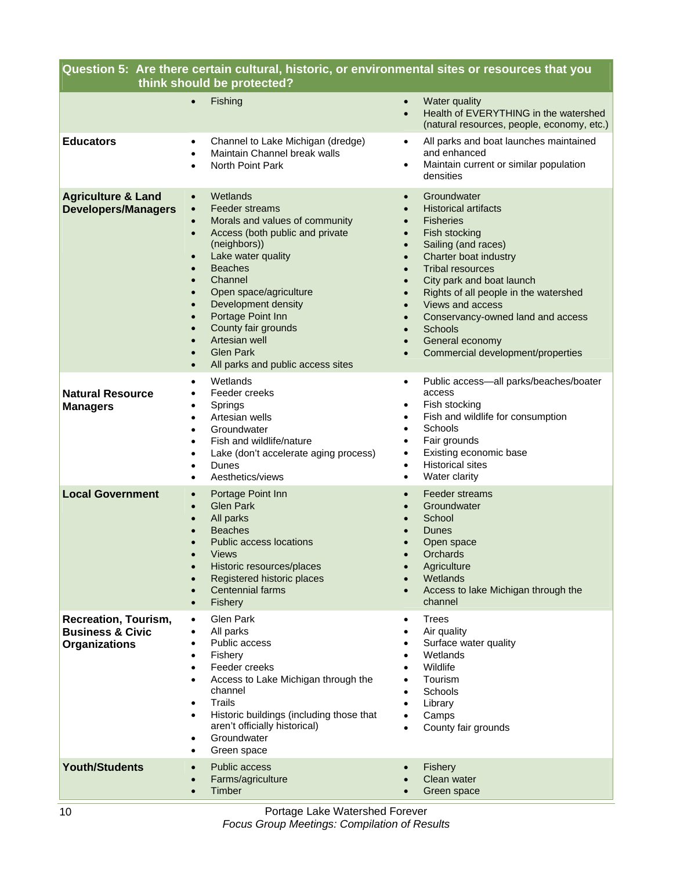| Question 5: Are there certain cultural, historic, or environmental sites or resources that you<br>think should be protected? |                                                                                                                                                                                                                                                                                                                                                                                                                                                                                                                                 |                                                                                                                                                                                                                                                                                                                                                                                                     |  |
|------------------------------------------------------------------------------------------------------------------------------|---------------------------------------------------------------------------------------------------------------------------------------------------------------------------------------------------------------------------------------------------------------------------------------------------------------------------------------------------------------------------------------------------------------------------------------------------------------------------------------------------------------------------------|-----------------------------------------------------------------------------------------------------------------------------------------------------------------------------------------------------------------------------------------------------------------------------------------------------------------------------------------------------------------------------------------------------|--|
|                                                                                                                              | Fishing<br>$\bullet$                                                                                                                                                                                                                                                                                                                                                                                                                                                                                                            | Water quality<br>$\bullet$<br>Health of EVERYTHING in the watershed<br>$\bullet$<br>(natural resources, people, economy, etc.)                                                                                                                                                                                                                                                                      |  |
| <b>Educators</b>                                                                                                             | Channel to Lake Michigan (dredge)<br>$\bullet$<br>Maintain Channel break walls<br>$\bullet$<br>North Point Park<br>$\bullet$                                                                                                                                                                                                                                                                                                                                                                                                    | All parks and boat launches maintained<br>and enhanced<br>Maintain current or similar population<br>densities                                                                                                                                                                                                                                                                                       |  |
| <b>Agriculture &amp; Land</b><br><b>Developers/Managers</b>                                                                  | Wetlands<br>$\bullet$<br>Feeder streams<br>$\bullet$<br>Morals and values of community<br>$\bullet$<br>Access (both public and private<br>$\bullet$<br>(neighbors))<br>Lake water quality<br>$\bullet$<br><b>Beaches</b><br>$\bullet$<br>Channel<br>$\bullet$<br>Open space/agriculture<br>$\bullet$<br>Development density<br>$\bullet$<br>Portage Point Inn<br>$\bullet$<br>County fair grounds<br>$\bullet$<br>Artesian well<br>$\bullet$<br><b>Glen Park</b><br>$\bullet$<br>All parks and public access sites<br>$\bullet$ | Groundwater<br><b>Historical artifacts</b><br><b>Fisheries</b><br>Fish stocking<br>Sailing (and races)<br>Charter boat industry<br><b>Tribal resources</b><br>City park and boat launch<br>Rights of all people in the watershed<br>Views and access<br>$\bullet$<br>Conservancy-owned land and access<br>Schools<br>$\bullet$<br>General economy<br>$\bullet$<br>Commercial development/properties |  |
| <b>Natural Resource</b><br><b>Managers</b>                                                                                   | Wetlands<br>$\bullet$<br>Feeder creeks<br>٠<br>Springs<br>٠<br>Artesian wells<br>$\bullet$<br>Groundwater<br>$\bullet$<br>Fish and wildlife/nature<br>$\bullet$<br>Lake (don't accelerate aging process)<br>$\bullet$<br>Dunes<br>$\bullet$<br>Aesthetics/views<br>$\bullet$                                                                                                                                                                                                                                                    | Public access-all parks/beaches/boater<br>$\bullet$<br>access<br>Fish stocking<br>$\bullet$<br>Fish and wildlife for consumption<br>٠<br>Schools<br>Fair grounds<br>Existing economic base<br>٠<br><b>Historical sites</b><br>Water clarity<br>$\bullet$                                                                                                                                            |  |
| <b>Local Government</b>                                                                                                      | Portage Point Inn<br>$\bullet$<br><b>Glen Park</b><br>$\bullet$<br>All parks<br>$\bullet$<br><b>Beaches</b><br><b>Public access locations</b><br><b>Views</b><br>Historic resources/places<br>$\bullet$<br>Registered historic places<br>$\bullet$<br>Centennial farms<br>$\bullet$<br>Fishery<br>$\bullet$                                                                                                                                                                                                                     | Feeder streams<br>Groundwater<br>School<br>Dunes<br>Open space<br><b>Orchards</b><br>Agriculture<br>Wetlands<br>Access to lake Michigan through the<br>channel                                                                                                                                                                                                                                      |  |
| Recreation, Tourism,<br><b>Business &amp; Civic</b><br><b>Organizations</b>                                                  | Glen Park<br>$\bullet$<br>All parks<br>٠<br>Public access<br>٠<br>Fishery<br>Feeder creeks<br>$\bullet$<br>Access to Lake Michigan through the<br>٠<br>channel<br><b>Trails</b><br>$\bullet$<br>Historic buildings (including those that<br>٠<br>aren't officially historical)<br>Groundwater<br>Green space<br>$\bullet$                                                                                                                                                                                                       | <b>Trees</b><br>Air quality<br>Surface water quality<br>Wetlands<br>Wildlife<br>Tourism<br>Schools<br>Library<br>Camps<br>County fair grounds                                                                                                                                                                                                                                                       |  |
| <b>Youth/Students</b>                                                                                                        | Public access<br>$\bullet$<br>Farms/agriculture<br>$\bullet$<br>Timber<br>$\bullet$                                                                                                                                                                                                                                                                                                                                                                                                                                             | Fishery<br>Clean water<br>Green space                                                                                                                                                                                                                                                                                                                                                               |  |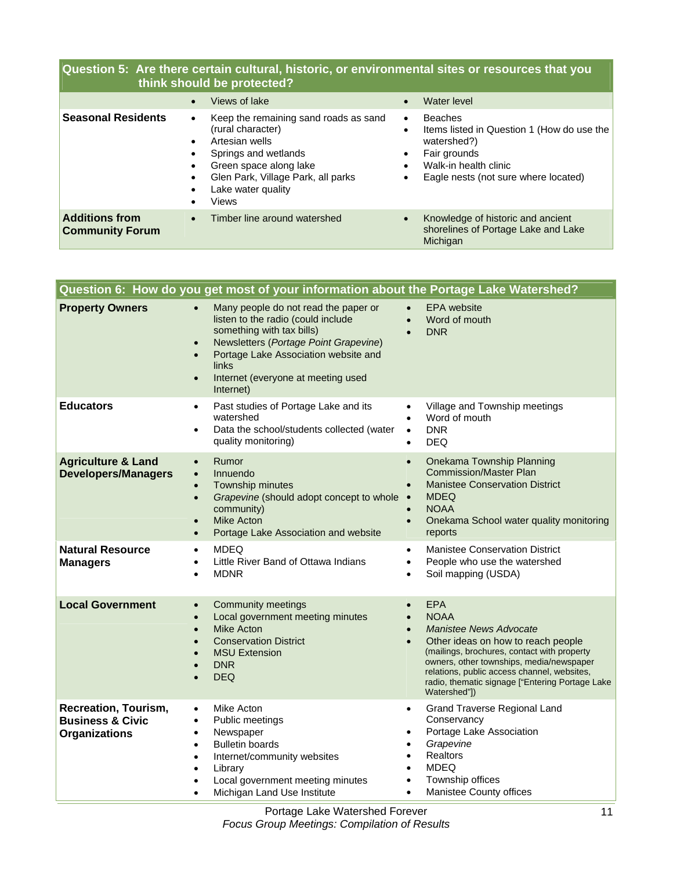## **Question 5: Are there certain cultural, historic, or environmental sites or resources that you think should be protected?**

|                                                 | Views of lake                                                                                                                                                                                            | Water level<br>$\bullet$                                                                                                                                                  |
|-------------------------------------------------|----------------------------------------------------------------------------------------------------------------------------------------------------------------------------------------------------------|---------------------------------------------------------------------------------------------------------------------------------------------------------------------------|
| <b>Seasonal Residents</b>                       | Keep the remaining sand roads as sand<br>٠<br>(rural character)<br>Artesian wells<br>Springs and wetlands<br>Green space along lake<br>Glen Park, Village Park, all parks<br>Lake water quality<br>Views | <b>Beaches</b><br>$\bullet$<br>Items listed in Question 1 (How do use the<br>watershed?)<br>Fair grounds<br>Walk-in health clinic<br>Eagle nests (not sure where located) |
| <b>Additions from</b><br><b>Community Forum</b> | Timber line around watershed<br>$\bullet$                                                                                                                                                                | Knowledge of historic and ancient<br>shorelines of Portage Lake and Lake<br>Michigan                                                                                      |

|                                                                                    | Question 6:  How do you get most of your information about the Portage Lake Watershed?                                                                                                                                                                                                      |                                                                                                                                                                                                                                                                                                                                                                   |
|------------------------------------------------------------------------------------|---------------------------------------------------------------------------------------------------------------------------------------------------------------------------------------------------------------------------------------------------------------------------------------------|-------------------------------------------------------------------------------------------------------------------------------------------------------------------------------------------------------------------------------------------------------------------------------------------------------------------------------------------------------------------|
| <b>Property Owners</b>                                                             | Many people do not read the paper or<br>$\bullet$<br>listen to the radio (could include<br>something with tax bills)<br>Newsletters (Portage Point Grapevine)<br>$\bullet$<br>Portage Lake Association website and<br>$\bullet$<br>links<br>Internet (everyone at meeting used<br>Internet) | <b>EPA</b> website<br>$\bullet$<br>Word of mouth<br>$\bullet$<br><b>DNR</b>                                                                                                                                                                                                                                                                                       |
| <b>Educators</b>                                                                   | Past studies of Portage Lake and its<br>watershed<br>Data the school/students collected (water<br>$\bullet$<br>quality monitoring)                                                                                                                                                          | Village and Township meetings<br>$\bullet$<br>Word of mouth<br>$\bullet$<br><b>DNR</b><br>$\bullet$<br><b>DEQ</b><br>$\bullet$                                                                                                                                                                                                                                    |
| <b>Agriculture &amp; Land</b><br><b>Developers/Managers</b>                        | Rumor<br>$\bullet$<br>Innuendo<br>$\bullet$<br>Township minutes<br>$\bullet$<br>Grapevine (should adopt concept to whole .<br>$\bullet$<br>community)<br><b>Mike Acton</b><br>Portage Lake Association and website                                                                          | Onekama Township Planning<br>$\bullet$<br><b>Commission/Master Plan</b><br><b>Manistee Conservation District</b><br>$\bullet$<br><b>MDEQ</b><br><b>NOAA</b><br>$\bullet$<br>Onekama School water quality monitoring<br>$\bullet$<br>reports                                                                                                                       |
| <b>Natural Resource</b><br><b>Managers</b>                                         | <b>MDEQ</b><br>$\bullet$<br>Little River Band of Ottawa Indians<br><b>MDNR</b>                                                                                                                                                                                                              | <b>Manistee Conservation District</b><br>$\bullet$<br>People who use the watershed<br>$\bullet$<br>Soil mapping (USDA)<br>$\bullet$                                                                                                                                                                                                                               |
| <b>Local Government</b>                                                            | <b>Community meetings</b><br>$\bullet$<br>Local government meeting minutes<br><b>Mike Acton</b><br>$\bullet$<br><b>Conservation District</b><br><b>MSU Extension</b><br><b>DNR</b><br><b>DEQ</b>                                                                                            | <b>EPA</b><br>$\bullet$<br><b>NOAA</b><br>$\bullet$<br><b>Manistee News Advocate</b><br>$\bullet$<br>Other ideas on how to reach people<br>$\bullet$<br>(mailings, brochures, contact with property<br>owners, other townships, media/newspaper<br>relations, public access channel, websites,<br>radio, thematic signage ["Entering Portage Lake<br>Watershed"]) |
| <b>Recreation, Tourism,</b><br><b>Business &amp; Civic</b><br><b>Organizations</b> | Mike Acton<br>$\bullet$<br>Public meetings<br>$\bullet$<br>Newspaper<br>$\bullet$<br><b>Bulletin boards</b><br>$\bullet$<br>Internet/community websites<br>$\bullet$<br>Library<br>Local government meeting minutes<br>Michigan Land Use Institute                                          | <b>Grand Traverse Regional Land</b><br>$\bullet$<br>Conservancy<br>Portage Lake Association<br>$\bullet$<br>Grapevine<br>$\bullet$<br><b>Realtors</b><br>$\bullet$<br><b>MDEQ</b><br>$\bullet$<br>Township offices<br>$\bullet$<br>Manistee County offices<br>$\bullet$                                                                                           |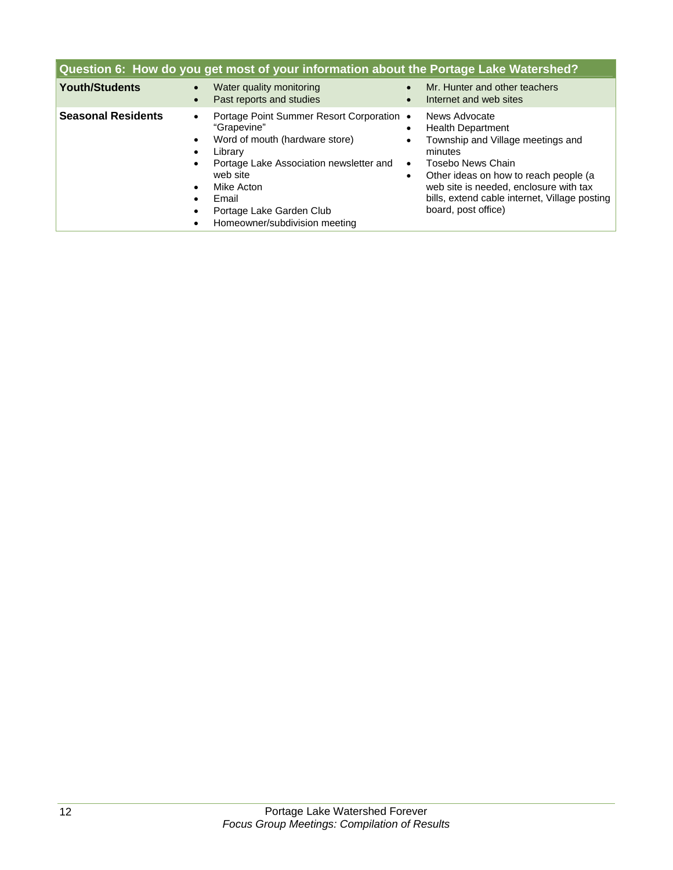| Question 6: How do you get most of your information about the Portage Lake Watershed? |                                                                                                                                                                                                                                                                                                                                                          |                                                                                                                                                                                                                                                                                                                  |  |
|---------------------------------------------------------------------------------------|----------------------------------------------------------------------------------------------------------------------------------------------------------------------------------------------------------------------------------------------------------------------------------------------------------------------------------------------------------|------------------------------------------------------------------------------------------------------------------------------------------------------------------------------------------------------------------------------------------------------------------------------------------------------------------|--|
| <b>Youth/Students</b>                                                                 | Water quality monitoring<br>$\bullet$<br>Past reports and studies<br>$\bullet$                                                                                                                                                                                                                                                                           | Mr. Hunter and other teachers<br>Internet and web sites<br>$\bullet$                                                                                                                                                                                                                                             |  |
| <b>Seasonal Residents</b>                                                             | Portage Point Summer Resort Corporation •<br>$\bullet$<br>"Grapevine"<br>Word of mouth (hardware store)<br>$\bullet$<br>Library<br>$\bullet$<br>Portage Lake Association newsletter and<br>$\bullet$<br>web site<br>Mike Acton<br>$\bullet$<br>Email<br>$\bullet$<br>Portage Lake Garden Club<br>$\bullet$<br>Homeowner/subdivision meeting<br>$\bullet$ | News Advocate<br><b>Health Department</b><br>$\bullet$<br>Township and Village meetings and<br>$\bullet$<br>minutes<br>Tosebo News Chain<br>$\bullet$<br>Other ideas on how to reach people (a<br>web site is needed, enclosure with tax<br>bills, extend cable internet, Village posting<br>board, post office) |  |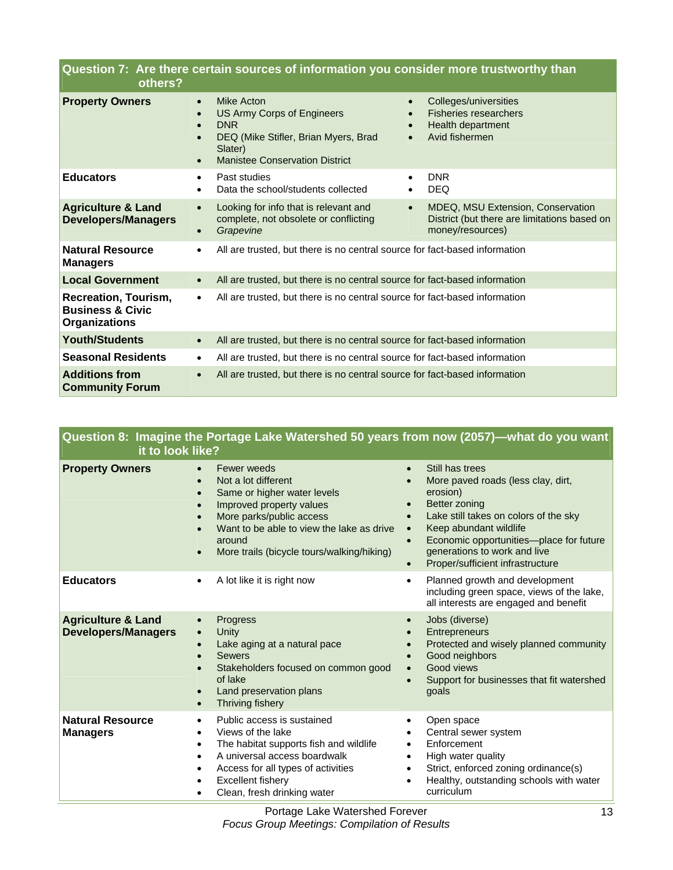| Question 7: Are there certain sources of information you consider more trustworthy than<br>others? |           |                                                                                                                                                    |                                                  |                                                                                                       |
|----------------------------------------------------------------------------------------------------|-----------|----------------------------------------------------------------------------------------------------------------------------------------------------|--------------------------------------------------|-------------------------------------------------------------------------------------------------------|
| <b>Property Owners</b>                                                                             | $\bullet$ | Mike Acton<br>US Army Corps of Engineers<br><b>DNR</b><br>DEQ (Mike Stifler, Brian Myers, Brad<br>Slater)<br><b>Manistee Conservation District</b> | $\bullet$<br>$\bullet$<br>$\bullet$<br>$\bullet$ | Colleges/universities<br><b>Fisheries researchers</b><br>Health department<br>Avid fishermen          |
| <b>Educators</b>                                                                                   |           | Past studies<br>Data the school/students collected                                                                                                 | $\bullet$                                        | <b>DNR</b><br><b>DEQ</b>                                                                              |
| <b>Agriculture &amp; Land</b><br><b>Developers/Managers</b>                                        |           | Looking for info that is relevant and<br>complete, not obsolete or conflicting<br>Grapevine                                                        | $\bullet$                                        | MDEQ, MSU Extension, Conservation<br>District (but there are limitations based on<br>money/resources) |
| <b>Natural Resource</b><br><b>Managers</b>                                                         |           | All are trusted, but there is no central source for fact-based information                                                                         |                                                  |                                                                                                       |
| <b>Local Government</b>                                                                            |           | All are trusted, but there is no central source for fact-based information                                                                         |                                                  |                                                                                                       |
| <b>Recreation, Tourism,</b><br><b>Business &amp; Civic</b><br><b>Organizations</b>                 | $\bullet$ | All are trusted, but there is no central source for fact-based information                                                                         |                                                  |                                                                                                       |
| <b>Youth/Students</b>                                                                              | $\bullet$ | All are trusted, but there is no central source for fact-based information                                                                         |                                                  |                                                                                                       |
| <b>Seasonal Residents</b>                                                                          | ٠         | All are trusted, but there is no central source for fact-based information                                                                         |                                                  |                                                                                                       |
| <b>Additions from</b><br><b>Community Forum</b>                                                    |           | All are trusted, but there is no central source for fact-based information                                                                         |                                                  |                                                                                                       |

| Question 8: Imagine the Portage Lake Watershed 50 years from now (2057)—what do you want<br>it to look like? |                                                                                                                                                                                                                                                                                                  |                                                                                                                                                                                                                                                                                                                                                                 |  |
|--------------------------------------------------------------------------------------------------------------|--------------------------------------------------------------------------------------------------------------------------------------------------------------------------------------------------------------------------------------------------------------------------------------------------|-----------------------------------------------------------------------------------------------------------------------------------------------------------------------------------------------------------------------------------------------------------------------------------------------------------------------------------------------------------------|--|
| <b>Property Owners</b>                                                                                       | Fewer weeds<br>Not a lot different<br>$\bullet$<br>Same or higher water levels<br>$\bullet$<br>Improved property values<br>$\bullet$<br>More parks/public access<br>$\bullet$<br>Want to be able to view the lake as drive<br>around<br>More trails (bicycle tours/walking/hiking)<br>$\bullet$  | Still has trees<br>$\bullet$<br>More paved roads (less clay, dirt,<br>$\bullet$<br>erosion)<br>Better zoning<br>$\bullet$<br>Lake still takes on colors of the sky<br>$\bullet$<br>Keep abundant wildlife<br>$\bullet$<br>Economic opportunities-place for future<br>$\bullet$<br>generations to work and live<br>Proper/sufficient infrastructure<br>$\bullet$ |  |
| <b>Educators</b>                                                                                             | A lot like it is right now<br>٠                                                                                                                                                                                                                                                                  | Planned growth and development<br>$\bullet$<br>including green space, views of the lake,<br>all interests are engaged and benefit                                                                                                                                                                                                                               |  |
| <b>Agriculture &amp; Land</b><br><b>Developers/Managers</b>                                                  | Progress<br>Unity<br>$\bullet$<br>Lake aging at a natural pace<br><b>Sewers</b><br>$\bullet$<br>Stakeholders focused on common good<br>$\bullet$<br>of lake<br>Land preservation plans<br>$\bullet$<br>Thriving fishery<br>$\bullet$                                                             | Jobs (diverse)<br>$\bullet$<br>Entrepreneurs<br>$\bullet$<br>Protected and wisely planned community<br>$\bullet$<br>Good neighbors<br>$\bullet$<br>Good views<br>$\bullet$<br>Support for businesses that fit watershed<br>goals                                                                                                                                |  |
| <b>Natural Resource</b><br><b>Managers</b>                                                                   | Public access is sustained<br>٠<br>Views of the lake<br>$\bullet$<br>The habitat supports fish and wildlife<br>$\bullet$<br>A universal access boardwalk<br>$\bullet$<br>Access for all types of activities<br>$\bullet$<br><b>Excellent fishery</b><br>Clean, fresh drinking water<br>$\bullet$ | Open space<br>$\bullet$<br>Central sewer system<br>$\bullet$<br>Enforcement<br>$\bullet$<br>High water quality<br>$\bullet$<br>Strict, enforced zoning ordinance(s)<br>$\bullet$<br>Healthy, outstanding schools with water<br>curriculum                                                                                                                       |  |